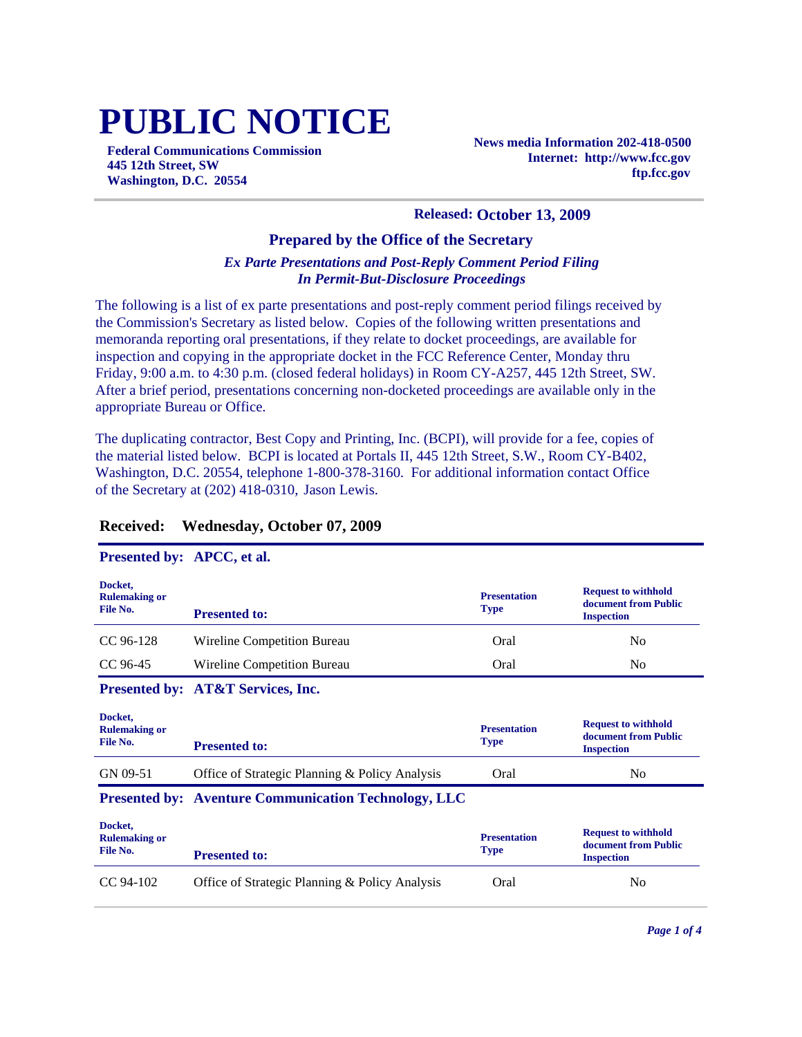# **PUBLIC NOTICE**

**Federal Communications Commission 445 12th Street, SW Washington, D.C. 20554**

**News media Information 202-418-0500 Internet: http://www.fcc.gov ftp.fcc.gov**

#### **Released: October 13, 2009**

## **Prepared by the Office of the Secretary**

## *Ex Parte Presentations and Post-Reply Comment Period Filing In Permit-But-Disclosure Proceedings*

The following is a list of ex parte presentations and post-reply comment period filings received by the Commission's Secretary as listed below. Copies of the following written presentations and memoranda reporting oral presentations, if they relate to docket proceedings, are available for inspection and copying in the appropriate docket in the FCC Reference Center, Monday thru Friday, 9:00 a.m. to 4:30 p.m. (closed federal holidays) in Room CY-A257, 445 12th Street, SW. After a brief period, presentations concerning non-docketed proceedings are available only in the appropriate Bureau or Office.

The duplicating contractor, Best Copy and Printing, Inc. (BCPI), will provide for a fee, copies of the material listed below. BCPI is located at Portals II, 445 12th Street, S.W., Room CY-B402, Washington, D.C. 20554, telephone 1-800-378-3160. For additional information contact Office of the Secretary at (202) 418-0310, Jason Lewis.

### **Received: Wednesday, October 07, 2009**

#### **Presented by: APCC, et al.**

| Docket,<br><b>Rulemaking or</b><br>File No. | <b>Presented to:</b>                                        | <b>Presentation</b><br><b>Type</b> | <b>Request to withhold</b><br>document from Public<br><b>Inspection</b> |
|---------------------------------------------|-------------------------------------------------------------|------------------------------------|-------------------------------------------------------------------------|
| CC 96-128                                   | Wireline Competition Bureau                                 | Oral                               | N <sub>0</sub>                                                          |
| CC 96-45                                    | Wireline Competition Bureau                                 | Oral                               | N <sub>0</sub>                                                          |
|                                             | Presented by: AT&T Services, Inc.                           |                                    |                                                                         |
| Docket,<br><b>Rulemaking or</b><br>File No. | <b>Presented to:</b>                                        | <b>Presentation</b><br><b>Type</b> | <b>Request to withhold</b><br>document from Public<br><b>Inspection</b> |
| GN 09-51                                    | Office of Strategic Planning & Policy Analysis              | Oral                               | N <sub>0</sub>                                                          |
|                                             | <b>Presented by: Aventure Communication Technology, LLC</b> |                                    |                                                                         |
| Docket,<br><b>Rulemaking or</b><br>File No. | <b>Presented to:</b>                                        | <b>Presentation</b><br><b>Type</b> | <b>Request to withhold</b><br>document from Public<br><b>Inspection</b> |
| $CC$ 94-102                                 | Office of Strategic Planning & Policy Analysis              | Oral                               | N <sub>0</sub>                                                          |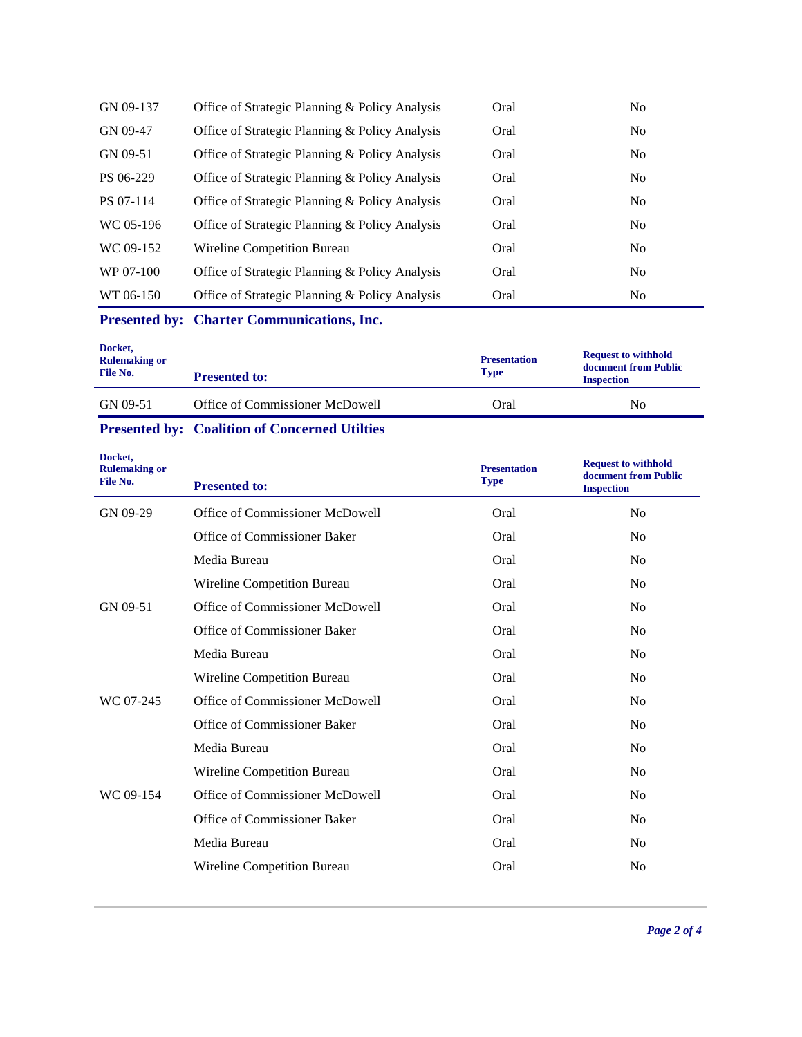| GN 09-137 | Office of Strategic Planning & Policy Analysis | Oral | N <sub>0</sub> |
|-----------|------------------------------------------------|------|----------------|
| GN 09-47  | Office of Strategic Planning & Policy Analysis | Oral | No             |
| GN 09-51  | Office of Strategic Planning & Policy Analysis | Oral | No             |
| PS 06-229 | Office of Strategic Planning & Policy Analysis | Oral | No             |
| PS 07-114 | Office of Strategic Planning & Policy Analysis | Oral | No             |
| WC 05-196 | Office of Strategic Planning & Policy Analysis | Oral | No             |
| WC 09-152 | <b>Wireline Competition Bureau</b>             | Oral | N <sub>0</sub> |
| WP 07-100 | Office of Strategic Planning & Policy Analysis | Oral | No             |
| WT 06-150 | Office of Strategic Planning & Policy Analysis | Oral | N <sub>0</sub> |

**Presented by: Charter Communications, Inc.**

| Docket,<br><b>Rulemaking or</b><br>File No. | <b>Presented to:</b>            | <b>Presentation</b><br><b>Type</b> | <b>Request to withhold</b><br>document from Public<br><b>Inspection</b> |
|---------------------------------------------|---------------------------------|------------------------------------|-------------------------------------------------------------------------|
| GN 09-51                                    | Office of Commissioner McDowell | Oral                               | No                                                                      |

# **Presented by: Coalition of Concerned Utilties**

| Docket,<br><b>Rulemaking or</b><br>File No. | <b>Presented to:</b>            | <b>Presentation</b><br><b>Type</b> | <b>Request to withhold</b><br>document from Public<br><b>Inspection</b> |
|---------------------------------------------|---------------------------------|------------------------------------|-------------------------------------------------------------------------|
| GN 09-29                                    | Office of Commissioner McDowell | Oral                               | N <sub>o</sub>                                                          |
|                                             | Office of Commissioner Baker    | Oral                               | N <sub>0</sub>                                                          |
|                                             | Media Bureau                    | Oral                               | N <sub>0</sub>                                                          |
|                                             | Wireline Competition Bureau     | Oral                               | N <sub>0</sub>                                                          |
| GN 09-51                                    | Office of Commissioner McDowell | Oral                               | N <sub>0</sub>                                                          |
|                                             | Office of Commissioner Baker    | Oral                               | N <sub>0</sub>                                                          |
|                                             | Media Bureau                    | Oral                               | N <sub>0</sub>                                                          |
|                                             | Wireline Competition Bureau     | Oral                               | N <sub>0</sub>                                                          |
| WC 07-245                                   | Office of Commissioner McDowell | Oral                               | N <sub>0</sub>                                                          |
|                                             | Office of Commissioner Baker    | Oral                               | N <sub>0</sub>                                                          |
|                                             | Media Bureau                    | Oral                               | N <sub>0</sub>                                                          |
|                                             | Wireline Competition Bureau     | Oral                               | N <sub>0</sub>                                                          |
| WC 09-154                                   | Office of Commissioner McDowell | Oral                               | N <sub>0</sub>                                                          |
|                                             | Office of Commissioner Baker    | Oral                               | N <sub>0</sub>                                                          |
|                                             | Media Bureau                    | Oral                               | N <sub>0</sub>                                                          |
|                                             | Wireline Competition Bureau     | Oral                               | N <sub>o</sub>                                                          |
|                                             |                                 |                                    |                                                                         |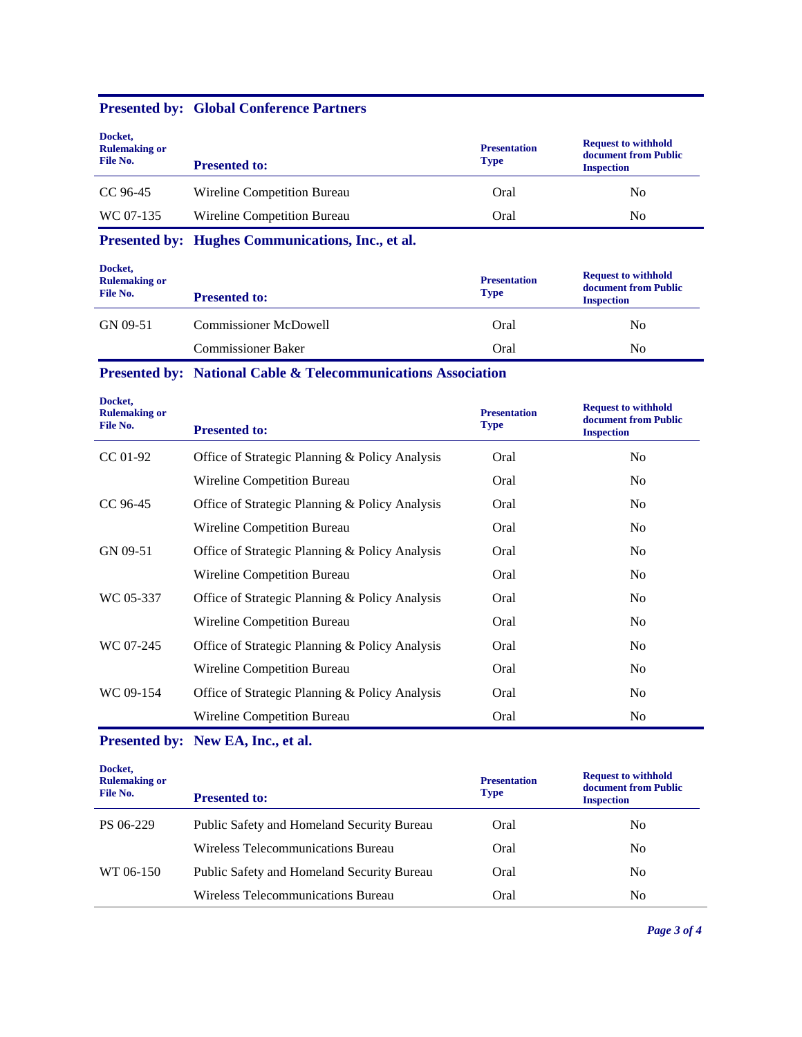## **Presented by: Global Conference Partners**

| Docket,<br><b>Rulemaking or</b><br>File No. | <b>Presented to:</b>        | <b>Presentation</b><br><b>Type</b> | <b>Request to withhold</b><br>document from Public<br><b>Inspection</b> |
|---------------------------------------------|-----------------------------|------------------------------------|-------------------------------------------------------------------------|
| CC 96-45                                    | Wireline Competition Bureau | Oral                               | No                                                                      |
| WC 07-135                                   | Wireline Competition Bureau | Oral                               | No                                                                      |

# **Presented by: Hughes Communications, Inc., et al.**

| Docket,<br><b>Rulemaking or</b><br>File No. | <b>Presented to:</b>         | <b>Presentation</b><br><b>Type</b> | <b>Request to withhold</b><br>document from Public<br><b>Inspection</b> |
|---------------------------------------------|------------------------------|------------------------------------|-------------------------------------------------------------------------|
| GN 09-51                                    | <b>Commissioner McDowell</b> | Oral                               | No                                                                      |
|                                             | <b>Commissioner Baker</b>    | Oral                               | No                                                                      |

# **Presented by: National Cable & Telecommunications Association**

| Docket,<br><b>Rulemaking or</b><br>File No. | <b>Presented to:</b>                           | <b>Presentation</b><br><b>Type</b> | <b>Request to withhold</b><br>document from Public<br><b>Inspection</b> |
|---------------------------------------------|------------------------------------------------|------------------------------------|-------------------------------------------------------------------------|
| $CC 01-92$                                  | Office of Strategic Planning & Policy Analysis | Oral                               | N <sub>0</sub>                                                          |
|                                             | Wireline Competition Bureau                    | Oral                               | N <sub>o</sub>                                                          |
| CC 96-45                                    | Office of Strategic Planning & Policy Analysis | Oral                               | N <sub>0</sub>                                                          |
|                                             | Wireline Competition Bureau                    | Oral                               | N <sub>0</sub>                                                          |
| GN 09-51                                    | Office of Strategic Planning & Policy Analysis | Oral                               | N <sub>0</sub>                                                          |
|                                             | Wireline Competition Bureau                    | Oral                               | N <sub>0</sub>                                                          |
| WC 05-337                                   | Office of Strategic Planning & Policy Analysis | Oral                               | N <sub>0</sub>                                                          |
|                                             | Wireline Competition Bureau                    | Oral                               | N <sub>0</sub>                                                          |
| WC 07-245                                   | Office of Strategic Planning & Policy Analysis | Oral                               | No.                                                                     |
|                                             | Wireline Competition Bureau                    | Oral                               | N <sub>0</sub>                                                          |
| WC 09-154                                   | Office of Strategic Planning & Policy Analysis | Oral                               | N <sub>0</sub>                                                          |
|                                             | Wireline Competition Bureau                    | Oral                               | N <sub>0</sub>                                                          |

## **Presented by: New EA, Inc., et al.**

| Docket,<br><b>Rulemaking or</b><br>File No. | <b>Presented to:</b>                              | <b>Presentation</b><br><b>Type</b> | <b>Request to withhold</b><br>document from Public<br><b>Inspection</b> |
|---------------------------------------------|---------------------------------------------------|------------------------------------|-------------------------------------------------------------------------|
| PS 06-229                                   | Public Safety and Homeland Security Bureau        | Oral                               | No                                                                      |
|                                             | Wireless Telecommunications Bureau                | Oral                               | No                                                                      |
| WT 06-150                                   | <b>Public Safety and Homeland Security Bureau</b> | Oral                               | N <sub>0</sub>                                                          |
|                                             | Wireless Telecommunications Bureau                | Oral                               | No.                                                                     |